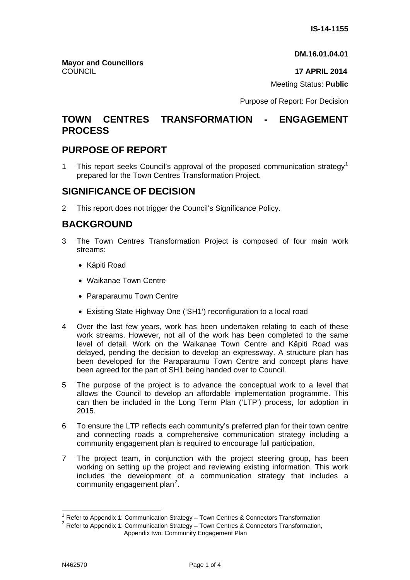**DM.16.01.04.01**

COUNCIL **17 APRIL 2014**

Meeting Status: **Public**

Purpose of Report: For Decision

### **TOWN CENTRES TRANSFORMATION - ENGAGEMENT PROCESS**

## **PURPOSE OF REPORT**

**Mayor and Councillors** 

[1](#page-0-0) This report seeks Council's approval of the proposed communication strategy<sup>1</sup> prepared for the Town Centres Transformation Project.

## **SIGNIFICANCE OF DECISION**

2 This report does not trigger the Council's Significance Policy.

# **BACKGROUND**

- 3 The Town Centres Transformation Project is composed of four main work streams:
	- Kāpiti Road
	- Waikanae Town Centre
	- Paraparaumu Town Centre
	- Existing State Highway One ('SH1') reconfiguration to a local road
- 4 Over the last few years, work has been undertaken relating to each of these work streams. However, not all of the work has been completed to the same level of detail. Work on the Waikanae Town Centre and Kāpiti Road was delayed, pending the decision to develop an expressway. A structure plan has been developed for the Paraparaumu Town Centre and concept plans have been agreed for the part of SH1 being handed over to Council.
- 5 The purpose of the project is to advance the conceptual work to a level that allows the Council to develop an affordable implementation programme. This can then be included in the Long Term Plan ('LTP') process, for adoption in 2015.
- 6 To ensure the LTP reflects each community's preferred plan for their town centre and connecting roads a comprehensive communication strategy including a community engagement plan is required to encourage full participation.
- 7 The project team, in conjunction with the project steering group, has been working on setting up the project and reviewing existing information. This work includes the development of a communication strategy that includes a community engagement plan<sup>[2](#page-0-1)</sup>.

 $\overline{a}$ 

<span id="page-0-0"></span>Refer to Appendix 1: Communication Strategy – Town Centres & Connectors Transformation

<span id="page-0-1"></span><sup>&</sup>lt;sup>2</sup> Refer to Appendix 1: Communication Strategy – Town Centres & Connectors Transformation,

Appendix two: Community Engagement Plan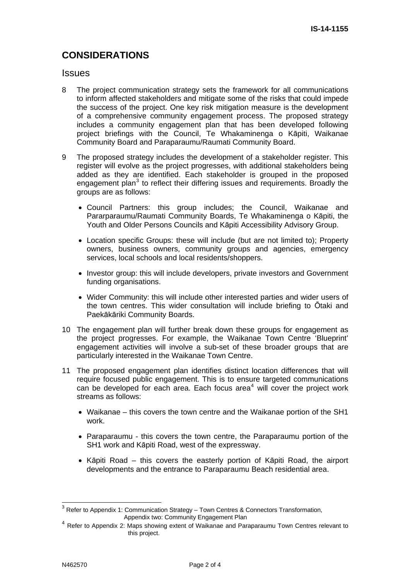# **CONSIDERATIONS**

#### **Issues**

- 8 The project communication strategy sets the framework for all communications to inform affected stakeholders and mitigate some of the risks that could impede the success of the project. One key risk mitigation measure is the development of a comprehensive community engagement process. The proposed strategy includes a community engagement plan that has been developed following project briefings with the Council, Te Whakaminenga o Kāpiti, Waikanae Community Board and Paraparaumu/Raumati Community Board.
- 9 The proposed strategy includes the development of a stakeholder register. This register will evolve as the project progresses, with additional stakeholders being added as they are identified. Each stakeholder is grouped in the proposed engagement plan<sup>[3](#page-1-0)</sup> to reflect their differing issues and requirements. Broadly the groups are as follows:
	- Council Partners: this group includes; the Council, Waikanae and Pararparaumu/Raumati Community Boards, Te Whakaminenga o Kāpiti, the Youth and Older Persons Councils and Kāpiti Accessibility Advisory Group.
	- Location specific Groups: these will include (but are not limited to); Property owners, business owners, community groups and agencies, emergency services, local schools and local residents/shoppers.
	- Investor group: this will include developers, private investors and Government funding organisations.
	- Wider Community: this will include other interested parties and wider users of the town centres. This wider consultation will include briefing to Ōtaki and Paekākāriki Community Boards.
- 10 The engagement plan will further break down these groups for engagement as the project progresses. For example, the Waikanae Town Centre 'Blueprint' engagement activities will involve a sub-set of these broader groups that are particularly interested in the Waikanae Town Centre.
- 11 The proposed engagement plan identifies distinct location differences that will require focused public engagement. This is to ensure targeted communications can be developed for each area. Each focus area<sup>[4](#page-1-1)</sup> will cover the project work streams as follows:
	- Waikanae this covers the town centre and the Waikanae portion of the SH1 work.
	- Paraparaumu this covers the town centre, the Paraparaumu portion of the SH1 work and Kāpiti Road, west of the expressway.
	- Kāpiti Road this covers the easterly portion of Kāpiti Road, the airport developments and the entrance to Paraparaumu Beach residential area.

<span id="page-1-0"></span> $3$  Refer to Appendix 1: Communication Strategy – Town Centres & Connectors Transformation, Appendix two: Community Engagement Plan

<span id="page-1-1"></span> $4$  Refer to Appendix 2: Maps showing extent of Waikanae and Paraparaumu Town Centres relevant to this project.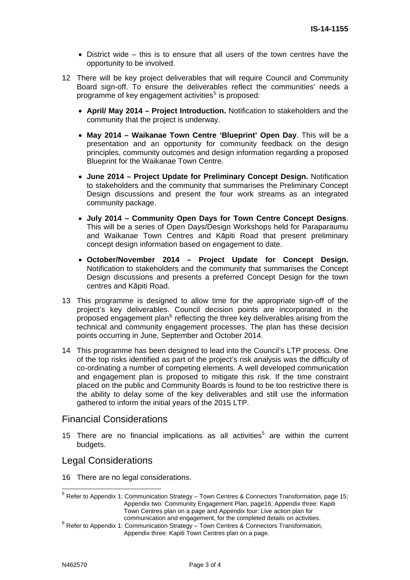- $\bullet$  District wide this is to ensure that all users of the town centres have the opportunity to be involved.
- 12 There will be key project deliverables that will require Council and Community Board sign-off. To ensure the deliverables reflect the communities' needs a programme of key engagement activities<sup>[5](#page-2-0)</sup> is proposed:
	- **April/ May 2014 Project Introduction.** Notification to stakeholders and the community that the project is underway.
	- **May 2014 Waikanae Town Centre 'Blueprint' Open Day**. This will be a presentation and an opportunity for community feedback on the design principles, community outcomes and design information regarding a proposed Blueprint for the Waikanae Town Centre.
	- **June 2014 Project Update for Preliminary Concept Design.** Notification to stakeholders and the community that summarises the Preliminary Concept Design discussions and present the four work streams as an integrated community package.
	- **July 2014 Community Open Days for Town Centre Concept Designs**. This will be a series of Open Days/Design Workshops held for Paraparaumu and Waikanae Town Centres and Kāpiti Road that present preliminary concept design information based on engagement to date.
	- **October/November 2014 Project Update for Concept Design.** Notification to stakeholders and the community that summarises the Concept Design discussions and presents a preferred Concept Design for the town centres and Kāpiti Road.
- 13 This programme is designed to allow time for the appropriate sign-off of the project's key deliverables. Council decision points are incorporated in the proposed engagement plan $^6$  $^6$  reflecting the three key deliverables arising from the technical and community engagement processes. The plan has these decision points occurring in June, September and October 2014.
- 14 This programme has been designed to lead into the Council's LTP process. One of the top risks identified as part of the project's risk analysis was the difficulty of co-ordinating a number of competing elements. A well developed communication and engagement plan is proposed to mitigate this risk. If the time constraint placed on the public and Community Boards is found to be too restrictive there is the ability to delay some of the key deliverables and still use the information gathered to inform the initial years of the 2015 LTP.

### Financial Considerations

15 There are no financial implications as all activities<sup>5</sup> are within the current budgets.

#### Legal Considerations

16 There are no legal considerations.

<span id="page-2-0"></span> $<sup>5</sup>$  Refer to Appendix 1: Communication Strategy – Town Centres & Connectors Transformation, page 15;</sup> Appendix two: Community Engagement Plan, page16; Appendix three: Kapiti Town Centres plan on a page and Appendix four: Live action plan for

<span id="page-2-1"></span>communication and engagement, for the completed details on activities.<br>6 Refer to Appendix 1: Communication Strategy – Town Centres & Connectors Transformation, Appendix three: Kapiti Town Centres plan on a page.